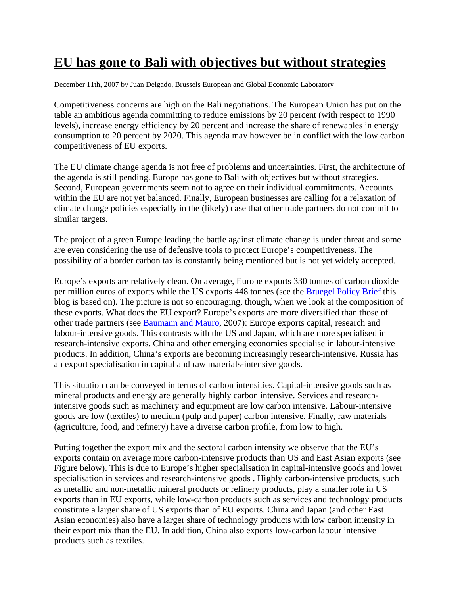## **EU has gone to Bali with objectives but without strategies**

December 11th, 2007 by Juan Delgado, Brussels European and Global Economic Laboratory

Competitiveness concerns are high on the Bali negotiations. The European Union has put on the table an ambitious agenda committing to reduce emissions by 20 percent (with respect to 1990 levels), increase energy efficiency by 20 percent and increase the share of renewables in energy consumption to 20 percent by 2020. This agenda may however be in conflict with the low carbon competitiveness of EU exports.

The EU climate change agenda is not free of problems and uncertainties. First, the architecture of the agenda is still pending. Europe has gone to Bali with objectives but without strategies. Second, European governments seem not to agree on their individual commitments. Accounts within the EU are not yet balanced. Finally, European businesses are calling for a relaxation of climate change policies especially in the (likely) case that other trade partners do not commit to similar targets.

The project of a green Europe leading the battle against climate change is under threat and some are even considering the use of defensive tools to protect Europe's competitiveness. The possibility of a border carbon tax is constantly being mentioned but is not yet widely accepted.

Europe's exports are relatively clean. On average, Europe exports 330 tonnes of carbon dioxide per million euros of exports while the US exports 448 tonnes (see the Bruegel Policy Brief this blog is based on). The picture is not so encouraging, though, when we look at the composition of these exports. What does the EU export? Europe's exports are more diversified than those of other trade partners (see Baumann and Mauro, 2007): Europe exports capital, research and labour-intensive goods. This contrasts with the US and Japan, which are more specialised in research-intensive exports. China and other emerging economies specialise in labour-intensive products. In addition, China's exports are becoming increasingly research-intensive. Russia has an export specialisation in capital and raw materials-intensive goods.

This situation can be conveyed in terms of carbon intensities. Capital-intensive goods such as mineral products and energy are generally highly carbon intensive. Services and researchintensive goods such as machinery and equipment are low carbon intensive. Labour-intensive goods are low (textiles) to medium (pulp and paper) carbon intensive. Finally, raw materials (agriculture, food, and refinery) have a diverse carbon profile, from low to high.

Putting together the export mix and the sectoral carbon intensity we observe that the EU's exports contain on average more carbon-intensive products than US and East Asian exports (see Figure below). This is due to Europe's higher specialisation in capital-intensive goods and lower specialisation in services and research-intensive goods . Highly carbon-intensive products, such as metallic and non-metallic mineral products or refinery products, play a smaller role in US exports than in EU exports, while low-carbon products such as services and technology products constitute a larger share of US exports than of EU exports. China and Japan (and other East Asian economies) also have a larger share of technology products with low carbon intensity in their export mix than the EU. In addition, China also exports low-carbon labour intensive products such as textiles.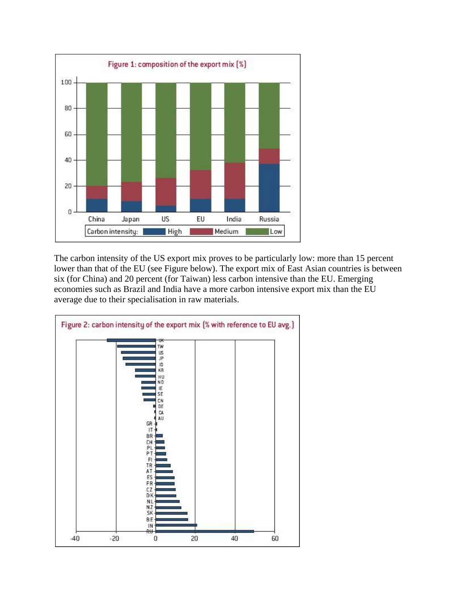

The carbon intensity of the US export mix proves to be particularly low: more than 15 percent lower than that of the EU (see Figure below). The export mix of East Asian countries is between six (for China) and 20 percent (for Taiwan) less carbon intensive than the EU. Emerging economies such as Brazil and India have a more carbon intensive export mix than the EU average due to their specialisation in raw materials.